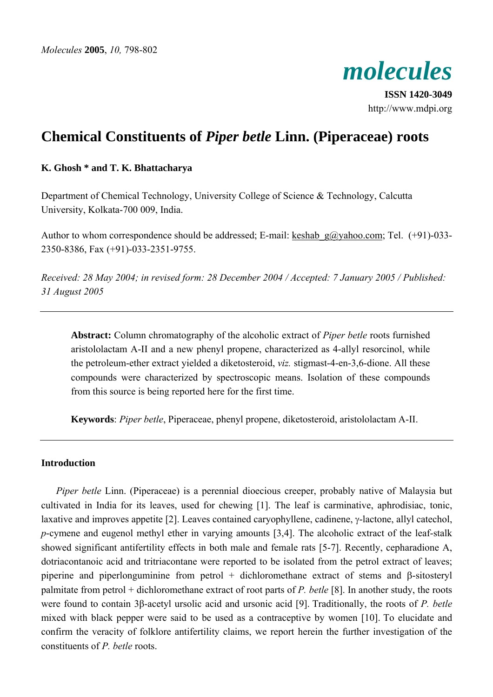

**ISSN 1420-3049** http://www.mdpi.org

# **Chemical Constituents of** *Piper betle* **Linn. (Piperaceae) roots**

# **K. Ghosh \* and T. K. Bhattacharya**

Department of Chemical Technology, University College of Science & Technology, Calcutta University, Kolkata-700 009, India.

Author to whom correspondence should be addressed; E-mail: keshab g@yahoo.com; Tel. (+91)-033-2350-8386, Fax (+91)-033-2351-9755.

*Received: 28 May 2004; in revised form: 28 December 2004 / Accepted: 7 January 2005 / Published: 31 August 2005*

**Abstract:** Column chromatography of the alcoholic extract of *Piper betle* roots furnished aristololactam A-II and a new phenyl propene, characterized as 4-allyl resorcinol, while the petroleum-ether extract yielded a diketosteroid, *viz.* stigmast-4-en-3,6-dione. All these compounds were characterized by spectroscopic means. Isolation of these compounds from this source is being reported here for the first time.

**Keywords**: *Piper betle*, Piperaceae, phenyl propene, diketosteroid, aristololactam A-II.

#### **Introduction**

*Piper betle* Linn. (Piperaceae) is a perennial dioecious creeper, probably native of Malaysia but cultivated in India for its leaves, used for chewing [1]. The leaf is carminative, aphrodisiac, tonic, laxative and improves appetite [2]. Leaves contained caryophyllene, cadinene, γ-lactone, allyl catechol, *p*-cymene and eugenol methyl ether in varying amounts [3,4]. The alcoholic extract of the leaf-stalk showed significant antifertility effects in both male and female rats [5-7]. Recently, cepharadione A, dotriacontanoic acid and tritriacontane were reported to be isolated from the petrol extract of leaves; piperine and piperlonguminine from petrol + dichloromethane extract of stems and β-sitosteryl palmitate from petrol + dichloromethane extract of root parts of *P. betle* [8]. In another study, the roots were found to contain 3β-acetyl ursolic acid and ursonic acid [9]. Traditionally, the roots of *P. betle* mixed with black pepper were said to be used as a contraceptive by women [10]. To elucidate and confirm the veracity of folklore antifertility claims, we report herein the further investigation of the constituents of *P. betle* roots.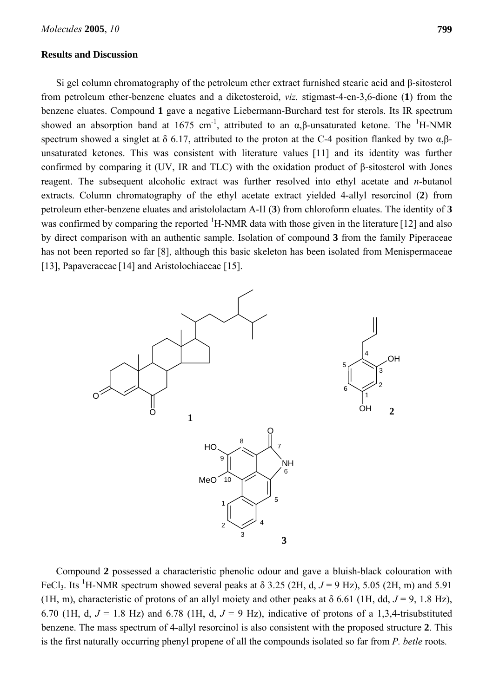#### **Results and Discussion**

Si gel column chromatography of the petroleum ether extract furnished stearic acid and β-sitosterol from petroleum ether-benzene eluates and a diketosteroid, *viz.* stigmast-4-en-3,6-dione (**1**) from the benzene eluates. Compound **1** gave a negative Liebermann-Burchard test for sterols. Its IR spectrum showed an absorption band at 1675 cm<sup>-1</sup>, attributed to an  $\alpha$ ,  $\beta$ -unsaturated ketone. The <sup>1</sup>H-NMR spectrum showed a singlet at  $\delta$  6.17, attributed to the proton at the C-4 position flanked by two  $\alpha$ . $\beta$ unsaturated ketones. This was consistent with literature values [11] and its identity was further confirmed by comparing it (UV, IR and TLC) with the oxidation product of β-sitosterol with Jones reagent. The subsequent alcoholic extract was further resolved into ethyl acetate and *n*-butanol extracts. Column chromatography of the ethyl acetate extract yielded 4-allyl resorcinol (**2**) from petroleum ether-benzene eluates and aristololactam A-II (**3**) from chloroform eluates. The identity of **3** was confirmed by comparing the reported <sup>1</sup>H-NMR data with those given in the literature [12] and also by direct comparison with an authentic sample. Isolation of compound **3** from the family Piperaceae has not been reported so far [8], although this basic skeleton has been isolated from Menispermaceae [13], Papaveraceae [14] and Aristolochiaceae [15].



Compound **2** possessed a characteristic phenolic odour and gave a bluish-black colouration with FeCl<sub>3</sub>. Its <sup>1</sup>H-NMR spectrum showed several peaks at  $\delta$  3.25 (2H, d,  $J = 9$  Hz), 5.05 (2H, m) and 5.91 (1H, m), characteristic of protons of an allyl moiety and other peaks at  $\delta$  6.61 (1H, dd,  $J = 9$ , 1.8 Hz), 6.70 (1H, d,  $J = 1.8$  Hz) and 6.78 (1H, d,  $J = 9$  Hz), indicative of protons of a 1,3,4-trisubstituted benzene. The mass spectrum of 4-allyl resorcinol is also consistent with the proposed structure **2**. This is the first naturally occurring phenyl propene of all the compounds isolated so far from *P. betle* roots*.*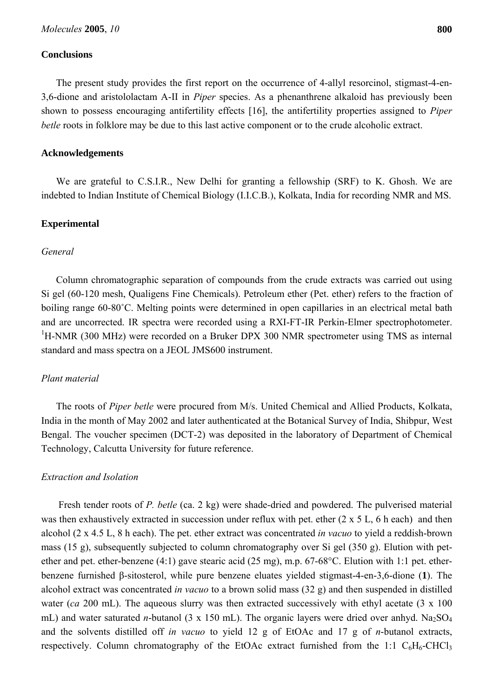## **Conclusions**

The present study provides the first report on the occurrence of 4-allyl resorcinol, stigmast-4-en-3,6-dione and aristololactam A-II in *Piper* species. As a phenanthrene alkaloid has previously been shown to possess encouraging antifertility effects [16], the antifertility properties assigned to *Piper betle* roots in folklore may be due to this last active component or to the crude alcoholic extract.

#### **Acknowledgements**

We are grateful to C.S.I.R., New Delhi for granting a fellowship (SRF) to K. Ghosh. We are indebted to Indian Institute of Chemical Biology (I.I.C.B.), Kolkata, India for recording NMR and MS.

#### **Experimental**

#### *General*

Column chromatographic separation of compounds from the crude extracts was carried out using Si gel (60-120 mesh, Qualigens Fine Chemicals). Petroleum ether (Pet. ether) refers to the fraction of boiling range 60-80˚C. Melting points were determined in open capillaries in an electrical metal bath and are uncorrected. IR spectra were recorded using a RXI-FT-IR Perkin-Elmer spectrophotometer.  ${}^{1}$ H-NMR (300 MHz) were recorded on a Bruker DPX 300 NMR spectrometer using TMS as internal standard and mass spectra on a JEOL JMS600 instrument.

#### *Plant material*

The roots of *Piper betle* were procured from M/s. United Chemical and Allied Products, Kolkata, India in the month of May 2002 and later authenticated at the Botanical Survey of India, Shibpur, West Bengal. The voucher specimen (DCT-2) was deposited in the laboratory of Department of Chemical Technology, Calcutta University for future reference.

### *Extraction and Isolation*

 Fresh tender roots of *P. betle* (ca. 2 kg) were shade-dried and powdered. The pulverised material was then exhaustively extracted in succession under reflux with pet. ether (2 x 5 L, 6 h each) and then alcohol (2 x 4.5 L, 8 h each). The pet. ether extract was concentrated *in vacuo* to yield a reddish-brown mass (15 g), subsequently subjected to column chromatography over Si gel (350 g). Elution with petether and pet. ether-benzene (4:1) gave stearic acid (25 mg), m.p. 67-68°C. Elution with 1:1 pet. etherbenzene furnished β-sitosterol, while pure benzene eluates yielded stigmast-4-en-3,6-dione (**1**). The alcohol extract was concentrated *in vacuo* to a brown solid mass (32 g) and then suspended in distilled water (*ca* 200 mL). The aqueous slurry was then extracted successively with ethyl acetate (3 x 100) mL) and water saturated *n*-butanol (3 x 150 mL). The organic layers were dried over anhyd.  $Na<sub>2</sub>SO<sub>4</sub>$ and the solvents distilled off *in vacuo* to yield 12 g of EtOAc and 17 g of *n*-butanol extracts, respectively. Column chromatography of the EtOAc extract furnished from the 1:1  $C_6H_6$ -CHCl<sub>3</sub>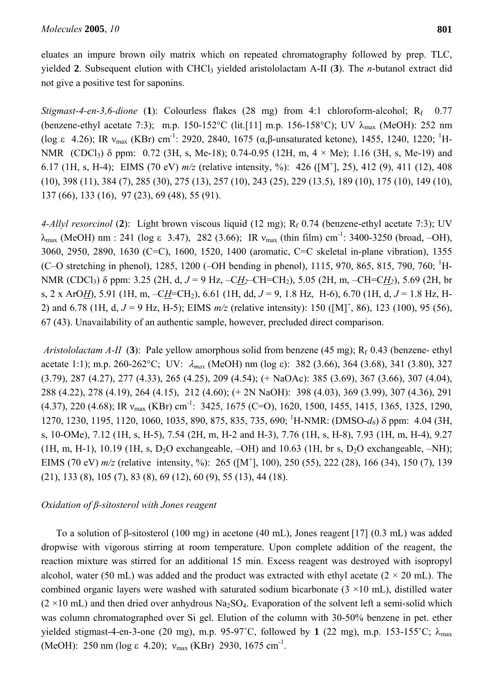eluates an impure brown oily matrix which on repeated chromatography followed by prep. TLC, yielded **2**. Subsequent elution with CHCl3 yielded aristololactam A-II (**3**). The *n*-butanol extract did not give a positive test for saponins.

*Stigmast-4-en-3,6-dione* (1): Colourless flakes (28 mg) from 4:1 chloroform-alcohol;  $R_f$  0.77 (benzene-ethyl acetate 7:3); m.p. 150-152°C (lit.[11] m.p. 156-158°C); UV  $\lambda_{\text{max}}$  (MeOH): 252 nm (log ε 4.26); IR  $v_{\text{max}}$  (KBr) cm<sup>-1</sup>: 2920, 2840, 1675 (α,β-unsaturated ketone), 1455, 1240, 1220; <sup>1</sup>H-NMR (CDCl<sub>3</sub>)  $\delta$  ppm: 0.72 (3H, s, Me-18); 0.74-0.95 (12H, m, 4  $\times$  Me); 1.16 (3H, s, Me-19) and 6.17 (1H, s, H-4); EIMS (70 eV) *m/z* (relative intensity, %): 426 ([M+ ], 25), 412 (9), 411 (12), 408 (10), 398 (11), 384 (7), 285 (30), 275 (13), 257 (10), 243 (25), 229 (13.5), 189 (10), 175 (10), 149 (10), 137 (66), 133 (16), 97 (23), 69 (48), 55 (91).

*4-Allyl resorcinol* (2): Light brown viscous liquid (12 mg); R<sub>f</sub> 0.74 (benzene-ethyl acetate 7:3); UV  $λ_{\text{max}}$  (MeOH) nm : 241 (log ε 3.47), 282 (3.66); IR  $v_{\text{max}}$  (thin film) cm<sup>-1</sup>: 3400-3250 (broad, -OH), 3060, 2950, 2890, 1630 (C=C), 1600, 1520, 1400 (aromatic, C=C skeletal in-plane vibration), 1355 (C–O stretching in phenol), 1285, 1200 (–OH bending in phenol), 1115, 970, 865, 815, 790, 760; <sup>1</sup>H-NMR (CDCl3) δ ppm: 3.25 (2H, d, *J* = 9 Hz, –C*H2*–CH=CH2), 5.05 (2H, m, –CH=C*H2*), 5.69 (2H, br s, 2 x ArO*H*), 5.91 (1H, m, –C*H*=CH2), 6.61 (1H, dd, *J* = 9, 1.8 Hz, H-6), 6.70 (1H, d, *J* = 1.8 Hz, H-2) and 6.78 (1H, d,  $J = 9$  Hz, H-5); EIMS  $m/z$  (relative intensity): 150 ([M]<sup>+</sup>, 86), 123 (100), 95 (56), 67 (43). Unavailability of an authentic sample, however, precluded direct comparison.

*Aristololactam A-II* (3): Pale yellow amorphous solid from benzene (45 mg);  $R_f$  0.43 (benzene- ethyl acetate 1:1); m.p. 260-262°C; UV: λ*max* (MeOH) nm (log ε): 382 (3.66), 364 (3.68), 341 (3.80), 327 (3.79), 287 (4.27), 277 (4.33), 265 (4.25), 209 (4.54); (+ NaOAc): 385 (3.69), 367 (3.66), 307 (4.04), 288 (4.22), 278 (4.19), 264 (4.15), 212 (4.60); (+ 2N NaOH): 398 (4.03), 369 (3.99), 307 (4.36), 291 (4.37), 220 (4.68); IR  $v_{\text{max}}$  (KBr) cm<sup>-1</sup>: 3425, 1675 (C=O), 1620, 1500, 1455, 1415, 1365, 1325, 1290, 1270, 1230, 1195, 1120, 1060, 1035, 890, 875, 835, 735, 690; <sup>1</sup> H-NMR: (DMSO-*d6*) δ ppm: 4.04 (3H, s, 10-OMe), 7.12 (1H, s, H-5), 7.54 (2H, m, H-2 and H-3), 7.76 (1H, s, H-8), 7.93 (1H, m, H-4), 9.27 (1H, m, H-1), 10.19 (1H, s, D<sub>2</sub>O exchangeable,  $-OH$ ) and 10.63 (1H, br s, D<sub>2</sub>O exchangeable,  $-NH$ ); EIMS (70 eV)  $m/z$  (relative intensity, %): 265 ( $[M^{\dagger}]$ , 100), 250 (55), 222 (28), 166 (34), 150 (7), 139 (21), 133 (8), 105 (7), 83 (8), 69 (12), 60 (9), 55 (13), 44 (18).

# *Oxidation of β-sitosterol with Jones reagent*

To a solution of β-sitosterol (100 mg) in acetone (40 mL), Jones reagent [17] (0.3 mL) was added dropwise with vigorous stirring at room temperature. Upon complete addition of the reagent, the reaction mixture was stirred for an additional 15 min. Excess reagent was destroyed with isopropyl alcohol, water (50 mL) was added and the product was extracted with ethyl acetate ( $2 \times 20$  mL). The combined organic layers were washed with saturated sodium bicarbonate  $(3 \times 10 \text{ mL})$ , distilled water  $(2 \times 10 \text{ mL})$  and then dried over anhydrous Na<sub>2</sub>SO<sub>4</sub>. Evaporation of the solvent left a semi-solid which was column chromatographed over Si gel. Elution of the column with 30-50% benzene in pet. ether yielded stigmast-4-en-3-one (20 mg), m.p. 95-97°C, followed by 1  $(22 \text{ mg})$ , m.p. 153-155°C;  $\lambda_{\text{max}}$ (MeOH): 250 nm (log  $\varepsilon$  4.20);  $v_{\text{max}}$  (KBr) 2930, 1675 cm<sup>-1</sup>.